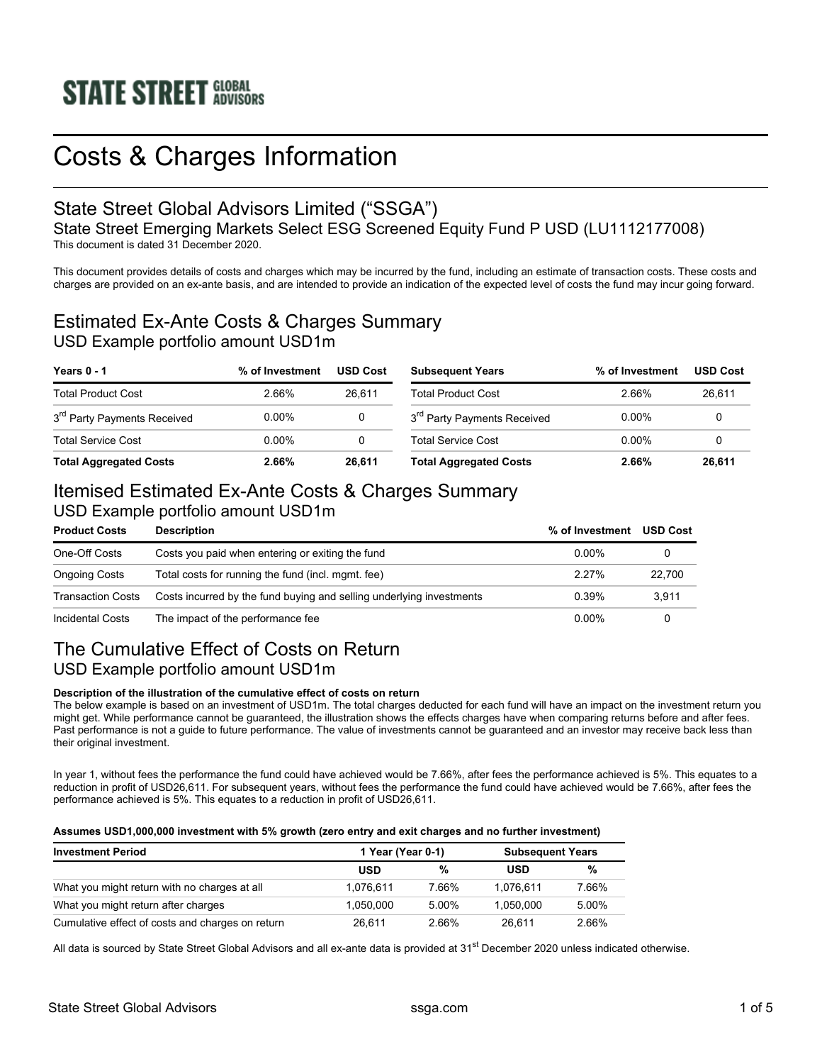# Costs & Charges Information

### State Street Global Advisors Limited ("SSGA")

State Street Emerging Markets Select ESG Screened Equity Fund P USD (LU1112177008) This document is dated 31 December 2020.

This document provides details of costs and charges which may be incurred by the fund, including an estimate of transaction costs. These costs and charges are provided on an ex-ante basis, and are intended to provide an indication of the expected level of costs the fund may incur going forward.

### Estimated Ex-Ante Costs & Charges Summary USD Example portfolio amount USD1m

| Years 0 - 1                             | % of Investment | <b>USD Cost</b> | <b>Subsequent Years</b>                 | % of Investment | <b>USD Cost</b> |
|-----------------------------------------|-----------------|-----------------|-----------------------------------------|-----------------|-----------------|
| <b>Total Product Cost</b>               | 2.66%           | 26.611          | <b>Total Product Cost</b>               | 2.66%           | 26.611          |
| 3 <sup>rd</sup> Party Payments Received | $0.00\%$        |                 | 3 <sup>rd</sup> Party Payments Received | $0.00\%$        |                 |
| <b>Total Service Cost</b>               | 0 00%           |                 | <b>Total Service Cost</b>               | 0 00%           |                 |
| <b>Total Aggregated Costs</b>           | 2.66%           | 26.611          | <b>Total Aggregated Costs</b>           | 2.66%           | 26.611          |

## Itemised Estimated Ex-Ante Costs & Charges Summary

### USD Example portfolio amount USD1m

| <b>Product Costs</b>                                                                      | <b>Description</b>                                 | % of Investment | <b>USD Cost</b> |
|-------------------------------------------------------------------------------------------|----------------------------------------------------|-----------------|-----------------|
| One-Off Costs                                                                             | Costs you paid when entering or exiting the fund   | $0.00\%$        |                 |
| <b>Ongoing Costs</b>                                                                      | Total costs for running the fund (incl. mgmt. fee) | 2.27%           | 22.700          |
| Costs incurred by the fund buying and selling underlying investments<br>Transaction Costs |                                                    | 0.39%           | 3.911           |
| Incidental Costs                                                                          | The impact of the performance fee                  | $0.00\%$        |                 |

### The Cumulative Effect of Costs on Return USD Example portfolio amount USD1m

#### **Description of the illustration of the cumulative effect of costs on return**

The below example is based on an investment of USD1m. The total charges deducted for each fund will have an impact on the investment return you might get. While performance cannot be guaranteed, the illustration shows the effects charges have when comparing returns before and after fees. Past performance is not a guide to future performance. The value of investments cannot be guaranteed and an investor may receive back less than their original investment.

In year 1, without fees the performance the fund could have achieved would be 7.66%, after fees the performance achieved is 5%. This equates to a reduction in profit of USD26,611. For subsequent years, without fees the performance the fund could have achieved would be 7.66%, after fees the performance achieved is 5%. This equates to a reduction in profit of USD26,611.

#### **Assumes USD1,000,000 investment with 5% growth (zero entry and exit charges and no further investment)**

| <b>Investment Period</b>                         | 1 Year (Year 0-1) |       | <b>Subsequent Years</b> |       |
|--------------------------------------------------|-------------------|-------|-------------------------|-------|
|                                                  | <b>USD</b>        | %     | USD                     | %     |
| What you might return with no charges at all     | 1.076.611         | 7.66% | 1.076.611               | 7.66% |
| What you might return after charges              | 1.050.000         | 5.00% | 1.050.000               | 5.00% |
| Cumulative effect of costs and charges on return | 26.611            | 2.66% | 26.611                  | 2.66% |

All data is sourced by State Street Global Advisors and all ex-ante data is provided at 31<sup>st</sup> December 2020 unless indicated otherwise.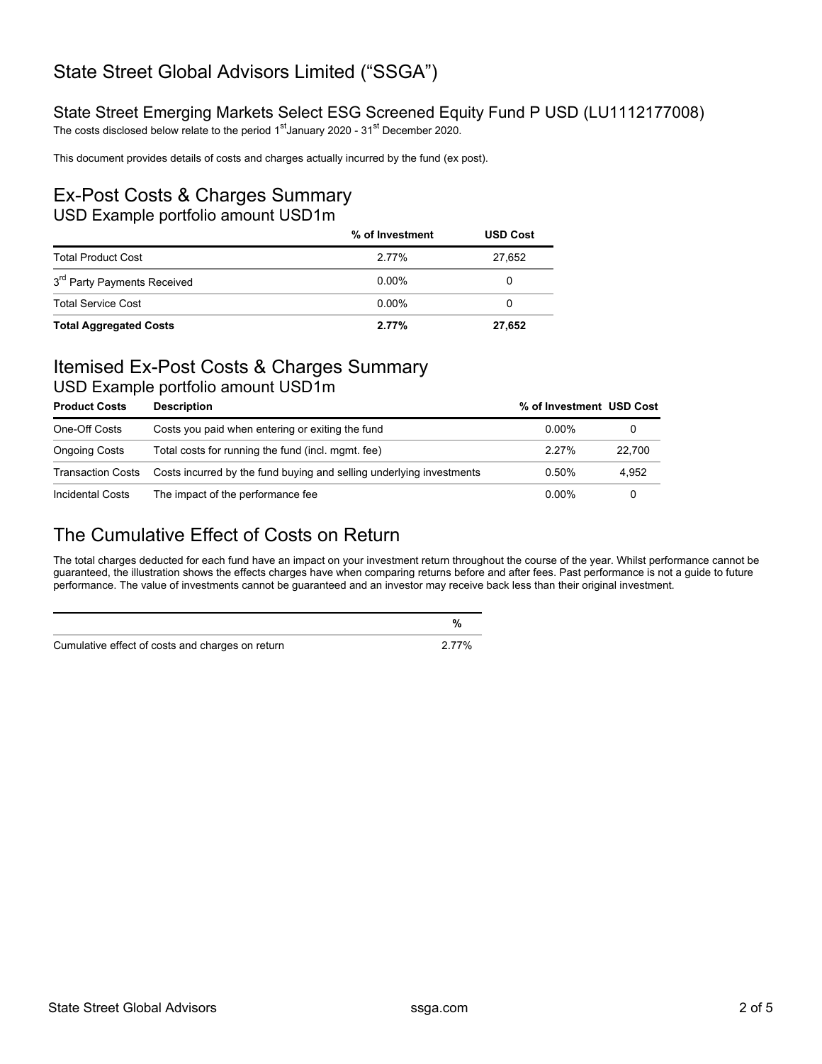## State Street Global Advisors Limited ("SSGA")

#### State Street Emerging Markets Select ESG Screened Equity Fund P USD (LU1112177008)

The costs disclosed below relate to the period 1<sup>st</sup> January 2020 - 31<sup>st</sup> December 2020.

This document provides details of costs and charges actually incurred by the fund (ex post).

#### Ex-Post Costs & Charges Summary USD Example portfolio amount USD1m

|                                         | % of Investment | <b>USD Cost</b> |
|-----------------------------------------|-----------------|-----------------|
| <b>Total Product Cost</b>               | 2 77%           | 27.652          |
| 3 <sup>rd</sup> Party Payments Received | $0.00\%$        | $\mathbf{0}$    |
| <b>Total Service Cost</b>               | $0.00\%$        | 0               |
| <b>Total Aggregated Costs</b>           | 2.77%           | 27,652          |

## Itemised Ex-Post Costs & Charges Summary

USD Example portfolio amount USD1m

| <b>Product Costs</b>     | <b>Description</b>                                                   | % of Investment USD Cost |        |
|--------------------------|----------------------------------------------------------------------|--------------------------|--------|
| One-Off Costs            | Costs you paid when entering or exiting the fund                     | 0.00%                    |        |
| <b>Ongoing Costs</b>     | Total costs for running the fund (incl. mgmt. fee)                   | $2.27\%$                 | 22.700 |
| <b>Transaction Costs</b> | Costs incurred by the fund buying and selling underlying investments | 0.50%                    | 4.952  |
| Incidental Costs         | The impact of the performance fee                                    | $0.00\%$                 |        |

## The Cumulative Effect of Costs on Return

The total charges deducted for each fund have an impact on your investment return throughout the course of the year. Whilst performance cannot be guaranteed, the illustration shows the effects charges have when comparing returns before and after fees. Past performance is not a guide to future performance. The value of investments cannot be guaranteed and an investor may receive back less than their original investment.

| Cumulative effect of costs and charges on return | 2 77% |
|--------------------------------------------------|-------|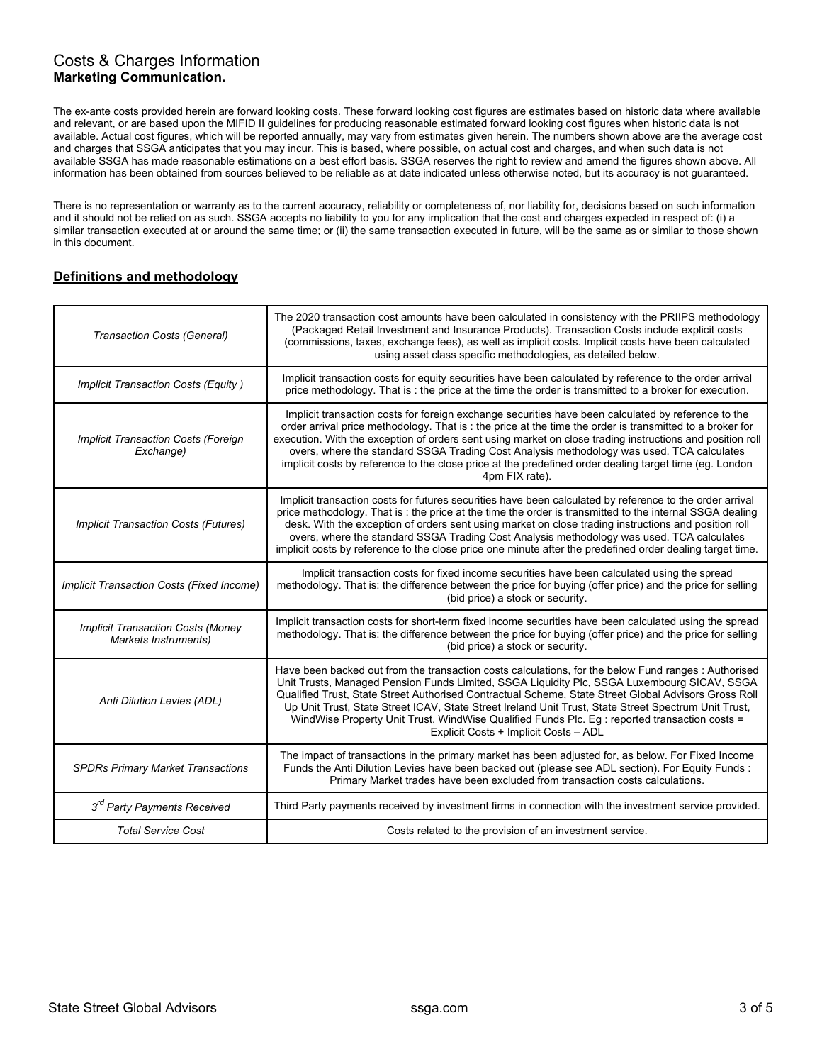#### Costs & Charges Information **Marketing Communication.**

The ex-ante costs provided herein are forward looking costs. These forward looking cost figures are estimates based on historic data where available and relevant, or are based upon the MIFID II guidelines for producing reasonable estimated forward looking cost figures when historic data is not available. Actual cost figures, which will be reported annually, may vary from estimates given herein. The numbers shown above are the average cost and charges that SSGA anticipates that you may incur. This is based, where possible, on actual cost and charges, and when such data is not available SSGA has made reasonable estimations on a best effort basis. SSGA reserves the right to review and amend the figures shown above. All information has been obtained from sources believed to be reliable as at date indicated unless otherwise noted, but its accuracy is not guaranteed.

There is no representation or warranty as to the current accuracy, reliability or completeness of, nor liability for, decisions based on such information and it should not be relied on as such. SSGA accepts no liability to you for any implication that the cost and charges expected in respect of: (i) a similar transaction executed at or around the same time; or (ii) the same transaction executed in future, will be the same as or similar to those shown in this document.

#### **Definitions and methodology**

| Transaction Costs (General)                                      | The 2020 transaction cost amounts have been calculated in consistency with the PRIIPS methodology<br>(Packaged Retail Investment and Insurance Products). Transaction Costs include explicit costs<br>(commissions, taxes, exchange fees), as well as implicit costs. Implicit costs have been calculated<br>using asset class specific methodologies, as detailed below.                                                                                                                                                                                     |
|------------------------------------------------------------------|---------------------------------------------------------------------------------------------------------------------------------------------------------------------------------------------------------------------------------------------------------------------------------------------------------------------------------------------------------------------------------------------------------------------------------------------------------------------------------------------------------------------------------------------------------------|
| Implicit Transaction Costs (Equity)                              | Implicit transaction costs for equity securities have been calculated by reference to the order arrival<br>price methodology. That is: the price at the time the order is transmitted to a broker for execution.                                                                                                                                                                                                                                                                                                                                              |
| Implicit Transaction Costs (Foreign<br>Exchange)                 | Implicit transaction costs for foreign exchange securities have been calculated by reference to the<br>order arrival price methodology. That is : the price at the time the order is transmitted to a broker for<br>execution. With the exception of orders sent using market on close trading instructions and position roll<br>overs, where the standard SSGA Trading Cost Analysis methodology was used. TCA calculates<br>implicit costs by reference to the close price at the predefined order dealing target time (eg. London<br>4pm FIX rate).        |
| <b>Implicit Transaction Costs (Futures)</b>                      | Implicit transaction costs for futures securities have been calculated by reference to the order arrival<br>price methodology. That is: the price at the time the order is transmitted to the internal SSGA dealing<br>desk. With the exception of orders sent using market on close trading instructions and position roll<br>overs, where the standard SSGA Trading Cost Analysis methodology was used. TCA calculates<br>implicit costs by reference to the close price one minute after the predefined order dealing target time.                         |
| Implicit Transaction Costs (Fixed Income)                        | Implicit transaction costs for fixed income securities have been calculated using the spread<br>methodology. That is: the difference between the price for buying (offer price) and the price for selling<br>(bid price) a stock or security.                                                                                                                                                                                                                                                                                                                 |
| <b>Implicit Transaction Costs (Money</b><br>Markets Instruments) | Implicit transaction costs for short-term fixed income securities have been calculated using the spread<br>methodology. That is: the difference between the price for buying (offer price) and the price for selling<br>(bid price) a stock or security.                                                                                                                                                                                                                                                                                                      |
| Anti Dilution Levies (ADL)                                       | Have been backed out from the transaction costs calculations, for the below Fund ranges : Authorised<br>Unit Trusts, Managed Pension Funds Limited, SSGA Liquidity Plc, SSGA Luxembourg SICAV, SSGA<br>Qualified Trust, State Street Authorised Contractual Scheme, State Street Global Advisors Gross Roll<br>Up Unit Trust, State Street ICAV, State Street Ireland Unit Trust, State Street Spectrum Unit Trust,<br>WindWise Property Unit Trust, WindWise Qualified Funds Plc. Eg : reported transaction costs =<br>Explicit Costs + Implicit Costs - ADL |
| <b>SPDRs Primary Market Transactions</b>                         | The impact of transactions in the primary market has been adjusted for, as below. For Fixed Income<br>Funds the Anti Dilution Levies have been backed out (please see ADL section). For Equity Funds :<br>Primary Market trades have been excluded from transaction costs calculations.                                                                                                                                                                                                                                                                       |
| 3 <sup>rd</sup> Party Payments Received                          | Third Party payments received by investment firms in connection with the investment service provided.                                                                                                                                                                                                                                                                                                                                                                                                                                                         |
| <b>Total Service Cost</b>                                        | Costs related to the provision of an investment service.                                                                                                                                                                                                                                                                                                                                                                                                                                                                                                      |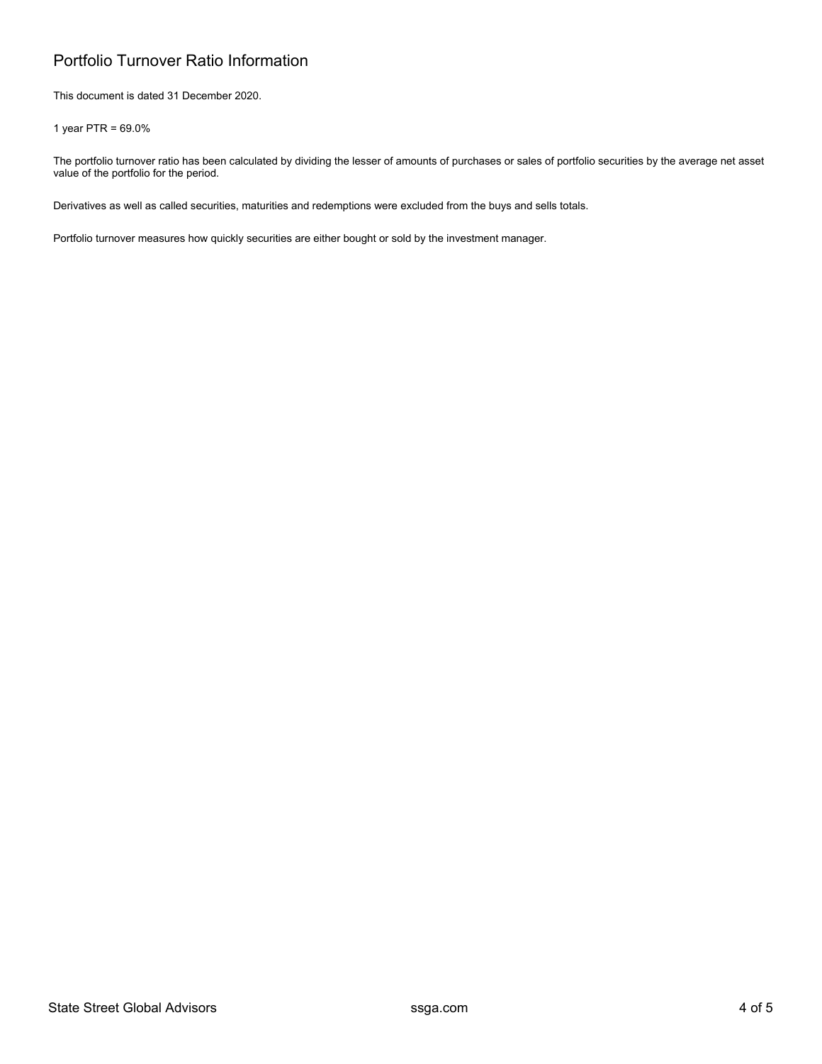### Portfolio Turnover Ratio Information

This document is dated 31 December 2020.

1 year PTR = 69.0%

The portfolio turnover ratio has been calculated by dividing the lesser of amounts of purchases or sales of portfolio securities by the average net asset value of the portfolio for the period.

Derivatives as well as called securities, maturities and redemptions were excluded from the buys and sells totals.

Portfolio turnover measures how quickly securities are either bought or sold by the investment manager.